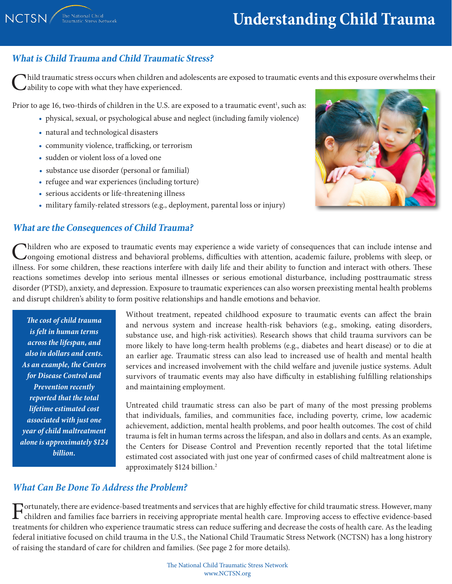# **Understanding Child Trauma**

### **What is Child Trauma and Child Traumatic Stress?**

hild traumatic stress occurs when children and adolescents are exposed to traumatic events and this exposure overwhelms their Ability to cope with what they have experienced.

Prior to age 16, two-thirds of children in the U.S. are exposed to a traumatic event<sup>1</sup>, such as:

- physical, sexual, or psychological abuse and neglect (including family violence)
- natural and technological disasters
- community violence, trafficking, or terrorism
- sudden or violent loss of a loved one
- substance use disorder (personal or familial)
- refugee and war experiences (including torture)
- serious accidents or life-threatening illness
- military family-related stressors (e.g., deployment, parental loss or injury)

#### **What are the Consequences of Child Trauma?**

Children who are exposed to traumatic events may experience a wide variety of consequences that can include intense and<br>Congoing emotional distress and behavioral problems, difficulties with attention, academic failure, pr illness. For some children, these reactions interfere with daily life and their ability to function and interact with others. These reactions sometimes develop into serious mental illnesses or serious emotional disturbance, including posttraumatic stress disorder (PTSD), anxiety, and depression. Exposure to traumatic experiences can also worsen preexisting mental health problems and disrupt children's ability to form positive relationships and handle emotions and behavior.

*The cost of child trauma is felt in human terms across the lifespan, and also in dollars and cents. As an example, the Centers for Disease Control and Prevention recently reported that the total lifetime estimated cost associated with just one year of child maltreatment alone is approximately \$124 billion.*

Without treatment, repeated childhood exposure to traumatic events can affect the brain and nervous system and increase health-risk behaviors (e.g., smoking, eating disorders, substance use, and high-risk activities). Research shows that child trauma survivors can be more likely to have long-term health problems (e.g., diabetes and heart disease) or to die at an earlier age. Traumatic stress can also lead to increased use of health and mental health services and increased involvement with the child welfare and juvenile justice systems. Adult survivors of traumatic events may also have difficulty in establishing fulfilling relationships and maintaining employment.

Untreated child traumatic stress can also be part of many of the most pressing problems that individuals, families, and communities face, including poverty, crime, low academic achievement, addiction, mental health problems, and poor health outcomes. The cost of child trauma is felt in human terms across the lifespan, and also in dollars and cents. As an example, the Centers for Disease Control and Prevention recently reported that the total lifetime estimated cost associated with just one year of confirmed cases of child maltreatment alone is approximately \$124 billion.2

### *What Can Be Done To Address the Problem?*

 $\Gamma$  ortunately, there are evidence-based treatments and services that are highly effective for child traumatic stress. However, many<br>children and families face barriers in receiving appropriate mental health care. Improv treatments for children who experience traumatic stress can reduce suffering and decrease the costs of health care. As the leading federal initiative focused on child trauma in the U.S., the National Child Traumatic Stress Network (NCTSN) has a long histrory of raising the standard of care for children and families. (See page 2 for more details).